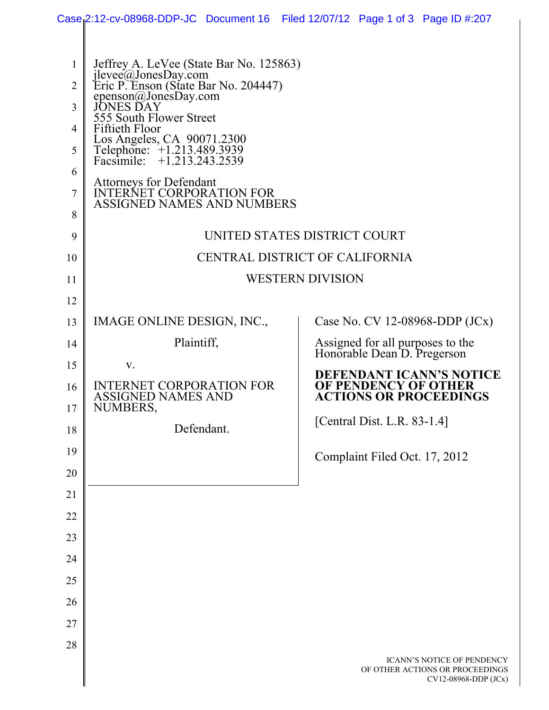|                |                                                                                          |            |  | Case 2:12-cv-08968-DDP-JC Document 16 Filed 12/07/12 Page 1 of 3 Page ID #:207        |  |  |  |  |  |  |
|----------------|------------------------------------------------------------------------------------------|------------|--|---------------------------------------------------------------------------------------|--|--|--|--|--|--|
|                |                                                                                          |            |  |                                                                                       |  |  |  |  |  |  |
| 1              | Jeffrey A. LeVee (State Bar No. 125863)                                                  |            |  |                                                                                       |  |  |  |  |  |  |
| $\overline{2}$ | jlevee@JonesDay.com<br>Eric P. Enson (State Bar No. 204447)                              |            |  |                                                                                       |  |  |  |  |  |  |
| 3              | epenson@JonesDay.com<br>555 South Flower Street                                          |            |  |                                                                                       |  |  |  |  |  |  |
| 4              | <b>Fiftieth Floor</b>                                                                    |            |  |                                                                                       |  |  |  |  |  |  |
| 5              | Los Angeles, CA 90071.2300<br>Telephone: +1.213.489.3939<br>Facsimile: +1.213.243.2539   |            |  |                                                                                       |  |  |  |  |  |  |
| 6              |                                                                                          |            |  |                                                                                       |  |  |  |  |  |  |
| 7              | Attorneys for Defendant<br>INTERNET CORPORATION FOR<br><b>ASSIGNED NAMES AND NUMBERS</b> |            |  |                                                                                       |  |  |  |  |  |  |
| 8              |                                                                                          |            |  |                                                                                       |  |  |  |  |  |  |
| 9              | UNITED STATES DISTRICT COURT                                                             |            |  |                                                                                       |  |  |  |  |  |  |
| 10             | CENTRAL DISTRICT OF CALIFORNIA                                                           |            |  |                                                                                       |  |  |  |  |  |  |
| 11             | <b>WESTERN DIVISION</b>                                                                  |            |  |                                                                                       |  |  |  |  |  |  |
| 12             |                                                                                          |            |  |                                                                                       |  |  |  |  |  |  |
| 13             | IMAGE ONLINE DESIGN, INC.,                                                               |            |  | Case No. CV 12-08968-DDP $(JCx)$                                                      |  |  |  |  |  |  |
| 14             | Plaintiff,                                                                               |            |  | Assigned for all purposes to the<br>Honorable Dean D. Pregerson                       |  |  |  |  |  |  |
| 15             | V.                                                                                       |            |  | <b>DEFENDANT ICANN'S NOTICE</b>                                                       |  |  |  |  |  |  |
| 16             | <b>INTERNET CORPORATION FOR</b><br>ASSIGNED NAMES AND                                    |            |  | OF PENDENCY OF OTHER<br><b>ACTIONS OR PROCEEDINGS</b>                                 |  |  |  |  |  |  |
| 17<br>18       | NUMBERS,                                                                                 | Defendant. |  | [Central Dist. L.R. 83-1.4]                                                           |  |  |  |  |  |  |
| 19             |                                                                                          |            |  |                                                                                       |  |  |  |  |  |  |
| 20             |                                                                                          |            |  | Complaint Filed Oct. 17, 2012                                                         |  |  |  |  |  |  |
| 21             |                                                                                          |            |  |                                                                                       |  |  |  |  |  |  |
| 22             |                                                                                          |            |  |                                                                                       |  |  |  |  |  |  |
| 23             |                                                                                          |            |  |                                                                                       |  |  |  |  |  |  |
| 24             |                                                                                          |            |  |                                                                                       |  |  |  |  |  |  |
| 25             |                                                                                          |            |  |                                                                                       |  |  |  |  |  |  |
| 26             |                                                                                          |            |  |                                                                                       |  |  |  |  |  |  |
| 27             |                                                                                          |            |  |                                                                                       |  |  |  |  |  |  |
| 28             |                                                                                          |            |  |                                                                                       |  |  |  |  |  |  |
|                |                                                                                          |            |  | ICANN'S NOTICE OF PENDENCY<br>OF OTHER ACTIONS OR PROCEEDINGS<br>CV12-08968-DDP (JCx) |  |  |  |  |  |  |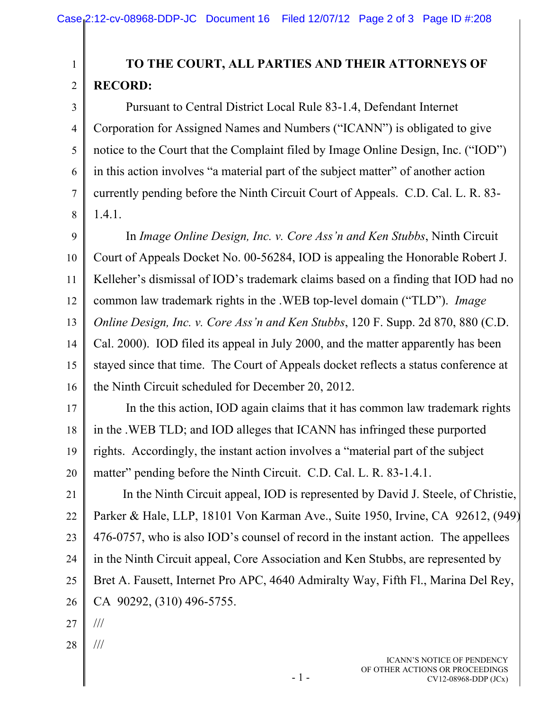## **TO THE COURT, ALL PARTIES AND THEIR ATTORNEYS OF RECORD:**

 Pursuant to Central District Local Rule 83-1.4, Defendant Internet Corporation for Assigned Names and Numbers ("ICANN") is obligated to give notice to the Court that the Complaint filed by Image Online Design, Inc. ("IOD") in this action involves "a material part of the subject matter" of another action currently pending before the Ninth Circuit Court of Appeals. C.D. Cal. L. R. 83- 1.4.1.

9 10 11 12 13 14 15 16 In *Image Online Design, Inc. v. Core Ass'n and Ken Stubbs*, Ninth Circuit Court of Appeals Docket No. 00-56284, IOD is appealing the Honorable Robert J. Kelleher's dismissal of IOD's trademark claims based on a finding that IOD had no common law trademark rights in the .WEB top-level domain ("TLD"). *Image Online Design, Inc. v. Core Ass'n and Ken Stubbs*, 120 F. Supp. 2d 870, 880 (C.D. Cal. 2000). IOD filed its appeal in July 2000, and the matter apparently has been stayed since that time. The Court of Appeals docket reflects a status conference at the Ninth Circuit scheduled for December 20, 2012.

17 18 19 20 In the this action, IOD again claims that it has common law trademark rights in the .WEB TLD; and IOD alleges that ICANN has infringed these purported rights. Accordingly, the instant action involves a "material part of the subject matter" pending before the Ninth Circuit. C.D. Cal. L. R. 83-1.4.1.

21 22 23 24 25 26 In the Ninth Circuit appeal, IOD is represented by David J. Steele, of Christie, Parker & Hale, LLP, 18101 Von Karman Ave., Suite 1950, Irvine, CA 92612, (949) 476-0757, who is also IOD's counsel of record in the instant action. The appellees in the Ninth Circuit appeal, Core Association and Ken Stubbs, are represented by Bret A. Fausett, Internet Pro APC, 4640 Admiralty Way, Fifth Fl., Marina Del Rey, CA 90292, (310) 496-5755.

27 ///

1

2

3

4

5

6

7

8

28 ///